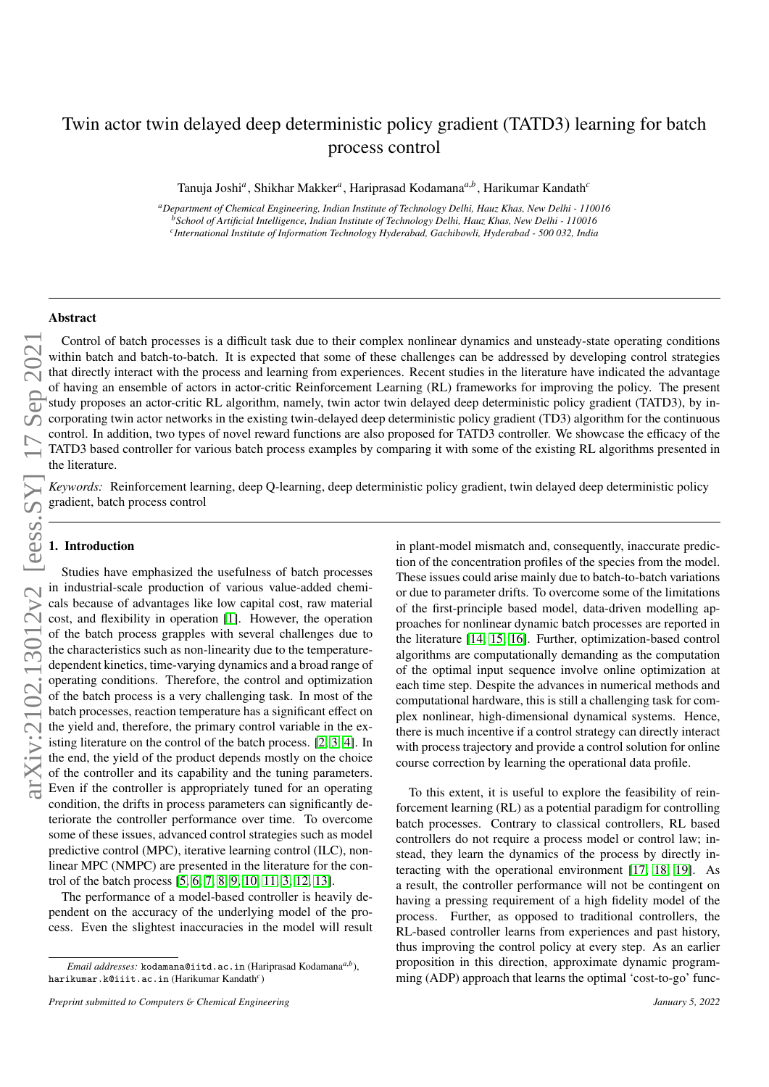# Twin actor twin delayed deep deterministic policy gradient (TATD3) learning for batch process control

Tanuja Joshi*<sup>a</sup>* , Shikhar Makker*<sup>a</sup>* , Hariprasad Kodamana*<sup>a</sup>*,*<sup>b</sup>* , Harikumar Kandath*<sup>c</sup>*

*<sup>a</sup>Department of Chemical Engineering, Indian Institute of Technology Delhi, Hauz Khas, New Delhi - 110016 <sup>b</sup>School of Artificial Intelligence, Indian Institute of Technology Delhi, Hauz Khas, New Delhi - 110016 c International Institute of Information Technology Hyderabad, Gachibowli, Hyderabad - 500 032, India*

#### Abstract

Control of batch processes is a difficult task due to their complex nonlinear dynamics and unsteady-state operating conditions within batch and batch-to-batch. It is expected that some of these challenges can be addressed by developing control strategies that directly interact with the process and learning from experiences. Recent studies in the literature have indicated the advantage of having an ensemble of actors in actor-critic Reinforcement Learning (RL) frameworks for improving the policy. The present study proposes an actor-critic RL algorithm, namely, twin actor twin delayed deep deterministic policy gradient (TATD3), by incorporating twin actor networks in the existing twin-delayed deep deterministic policy gradient (TD3) algorithm for the continuous control. In addition, two types of novel reward functions are also proposed for TATD3 controller. We showcase the efficacy of the TATD3 based controller for various batch process examples by comparing it with some of the existing RL algorithms presented in the literature.

*Keywords:* Reinforcement learning, deep Q-learning, deep deterministic policy gradient, twin delayed deep deterministic policy gradient, batch process control

#### 1. Introduction

Studies have emphasized the usefulness of batch processes in industrial-scale production of various value-added chemicals because of advantages like low capital cost, raw material cost, and flexibility in operation [\[1\]](#page-10-0). However, the operation of the batch process grapples with several challenges due to the characteristics such as non-linearity due to the temperaturedependent kinetics, time-varying dynamics and a broad range of operating conditions. Therefore, the control and optimization of the batch process is a very challenging task. In most of the batch processes, reaction temperature has a significant effect on the yield and, therefore, the primary control variable in the existing literature on the control of the batch process. [\[2,](#page-10-1) [3,](#page-10-2) [4\]](#page-10-3). In the end, the yield of the product depends mostly on the choice of the controller and its capability and the tuning parameters. Even if the controller is appropriately tuned for an operating condition, the drifts in process parameters can significantly deteriorate the controller performance over time. To overcome some of these issues, advanced control strategies such as model predictive control (MPC), iterative learning control (ILC), nonlinear MPC (NMPC) are presented in the literature for the control of the batch process [\[5,](#page-10-4) [6,](#page-10-5) [7,](#page-10-6) [8,](#page-10-7) [9,](#page-10-8) [10,](#page-10-9) [11,](#page-10-10) [3,](#page-10-2) [12,](#page-10-11) [13\]](#page-11-0).

The performance of a model-based controller is heavily dependent on the accuracy of the underlying model of the process. Even the slightest inaccuracies in the model will result in plant-model mismatch and, consequently, inaccurate prediction of the concentration profiles of the species from the model. These issues could arise mainly due to batch-to-batch variations or due to parameter drifts. To overcome some of the limitations of the first-principle based model, data-driven modelling approaches for nonlinear dynamic batch processes are reported in the literature [\[14,](#page-11-1) [15,](#page-11-2) [16\]](#page-11-3). Further, optimization-based control algorithms are computationally demanding as the computation of the optimal input sequence involve online optimization at each time step. Despite the advances in numerical methods and computational hardware, this is still a challenging task for complex nonlinear, high-dimensional dynamical systems. Hence, there is much incentive if a control strategy can directly interact with process trajectory and provide a control solution for online course correction by learning the operational data profile.

To this extent, it is useful to explore the feasibility of reinforcement learning (RL) as a potential paradigm for controlling batch processes. Contrary to classical controllers, RL based controllers do not require a process model or control law; instead, they learn the dynamics of the process by directly interacting with the operational environment [\[17,](#page-11-4) [18,](#page-11-5) [19\]](#page-11-6). As a result, the controller performance will not be contingent on having a pressing requirement of a high fidelity model of the process. Further, as opposed to traditional controllers, the RL-based controller learns from experiences and past history, thus improving the control policy at every step. As an earlier proposition in this direction, approximate dynamic programming (ADP) approach that learns the optimal 'cost-to-go' func-

*Email addresses:* kodamana@iitd.ac.in (Hariprasad Kodamana*a*,*<sup>b</sup>* ), harikumar.k@iiit.ac.in (Harikumar Kandath*<sup>c</sup>* )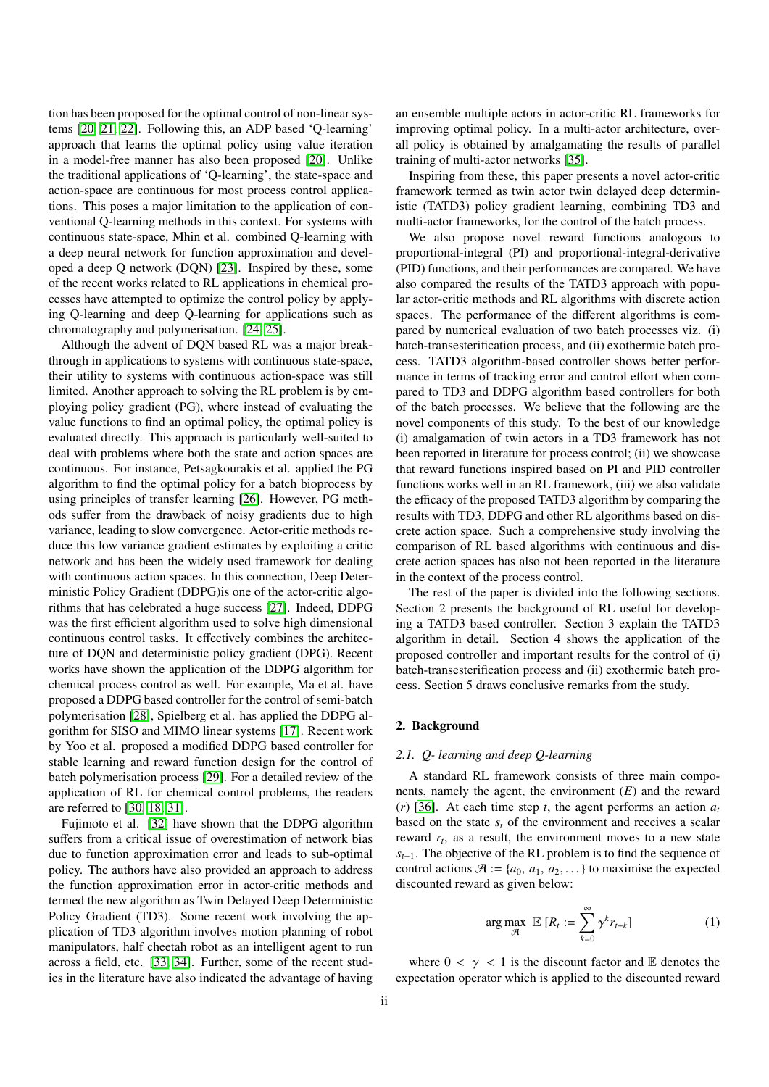tion has been proposed for the optimal control of non-linear systems [\[20,](#page-11-7) [21,](#page-11-8) [22\]](#page-11-9). Following this, an ADP based 'Q-learning' approach that learns the optimal policy using value iteration in a model-free manner has also been proposed [\[20\]](#page-11-7). Unlike the traditional applications of 'Q-learning', the state-space and action-space are continuous for most process control applications. This poses a major limitation to the application of conventional Q-learning methods in this context. For systems with continuous state-space, Mhin et al. combined Q-learning with a deep neural network for function approximation and developed a deep Q network (DQN) [\[23\]](#page-11-10). Inspired by these, some of the recent works related to RL applications in chemical processes have attempted to optimize the control policy by applying Q-learning and deep Q-learning for applications such as chromatography and polymerisation. [\[24,](#page-11-11) [25\]](#page-11-12).

Although the advent of DQN based RL was a major breakthrough in applications to systems with continuous state-space, their utility to systems with continuous action-space was still limited. Another approach to solving the RL problem is by employing policy gradient (PG), where instead of evaluating the value functions to find an optimal policy, the optimal policy is evaluated directly. This approach is particularly well-suited to deal with problems where both the state and action spaces are continuous. For instance, Petsagkourakis et al. applied the PG algorithm to find the optimal policy for a batch bioprocess by using principles of transfer learning [\[26\]](#page-11-13). However, PG methods suffer from the drawback of noisy gradients due to high variance, leading to slow convergence. Actor-critic methods reduce this low variance gradient estimates by exploiting a critic network and has been the widely used framework for dealing with continuous action spaces. In this connection, Deep Deterministic Policy Gradient (DDPG)is one of the actor-critic algorithms that has celebrated a huge success [\[27\]](#page-11-14). Indeed, DDPG was the first efficient algorithm used to solve high dimensional continuous control tasks. It effectively combines the architecture of DQN and deterministic policy gradient (DPG). Recent works have shown the application of the DDPG algorithm for chemical process control as well. For example, Ma et al. have proposed a DDPG based controller for the control of semi-batch polymerisation [\[28\]](#page-11-15), Spielberg et al. has applied the DDPG algorithm for SISO and MIMO linear systems [\[17\]](#page-11-4). Recent work by Yoo et al. proposed a modified DDPG based controller for stable learning and reward function design for the control of batch polymerisation process [\[29\]](#page-11-16). For a detailed review of the application of RL for chemical control problems, the readers are referred to [\[30,](#page-11-17) [18,](#page-11-5) [31\]](#page-11-18).

Fujimoto et al. [\[32\]](#page-11-19) have shown that the DDPG algorithm suffers from a critical issue of overestimation of network bias due to function approximation error and leads to sub-optimal policy. The authors have also provided an approach to address the function approximation error in actor-critic methods and termed the new algorithm as Twin Delayed Deep Deterministic Policy Gradient (TD3). Some recent work involving the application of TD3 algorithm involves motion planning of robot manipulators, half cheetah robot as an intelligent agent to run across a field, etc. [\[33,](#page-11-20) [34\]](#page-11-21). Further, some of the recent studies in the literature have also indicated the advantage of having

an ensemble multiple actors in actor-critic RL frameworks for improving optimal policy. In a multi-actor architecture, overall policy is obtained by amalgamating the results of parallel training of multi-actor networks [\[35\]](#page-11-22).

Inspiring from these, this paper presents a novel actor-critic framework termed as twin actor twin delayed deep deterministic (TATD3) policy gradient learning, combining TD3 and multi-actor frameworks, for the control of the batch process.

We also propose novel reward functions analogous to proportional-integral (PI) and proportional-integral-derivative (PID) functions, and their performances are compared. We have also compared the results of the TATD3 approach with popular actor-critic methods and RL algorithms with discrete action spaces. The performance of the different algorithms is compared by numerical evaluation of two batch processes viz. (i) batch-transesterification process, and (ii) exothermic batch process. TATD3 algorithm-based controller shows better performance in terms of tracking error and control effort when compared to TD3 and DDPG algorithm based controllers for both of the batch processes. We believe that the following are the novel components of this study. To the best of our knowledge (i) amalgamation of twin actors in a TD3 framework has not been reported in literature for process control; (ii) we showcase that reward functions inspired based on PI and PID controller functions works well in an RL framework, (iii) we also validate the efficacy of the proposed TATD3 algorithm by comparing the results with TD3, DDPG and other RL algorithms based on discrete action space. Such a comprehensive study involving the comparison of RL based algorithms with continuous and discrete action spaces has also not been reported in the literature in the context of the process control.

The rest of the paper is divided into the following sections. Section 2 presents the background of RL useful for developing a TATD3 based controller. Section 3 explain the TATD3 algorithm in detail. Section 4 shows the application of the proposed controller and important results for the control of (i) batch-transesterification process and (ii) exothermic batch process. Section 5 draws conclusive remarks from the study.

# 2. Background

## *2.1. Q- learning and deep Q-learning*

A standard RL framework consists of three main components, namely the agent, the environment (*E*) and the reward (*r*) [\[36\]](#page-11-23). At each time step *t*, the agent performs an action  $a_t$ based on the state  $s_t$  of the environment and receives a scalar reward  $r_t$ , as a result, the environment moves to a new state  $s_{t+1}$ . The objective of the RL problem is to find the sequence of control actions  $\mathcal{A} := \{a_0, a_1, a_2, \dots\}$  to maximise the expected discounted reward as given below:

<span id="page-1-0"></span>
$$
\arg\max_{\mathcal{A}} \ \mathbb{E} \left[ R_t := \sum_{k=0}^{\infty} \gamma^k r_{t+k} \right] \tag{1}
$$

where  $0 < \gamma < 1$  is the discount factor and E denotes the expectation operator which is applied to the discounted reward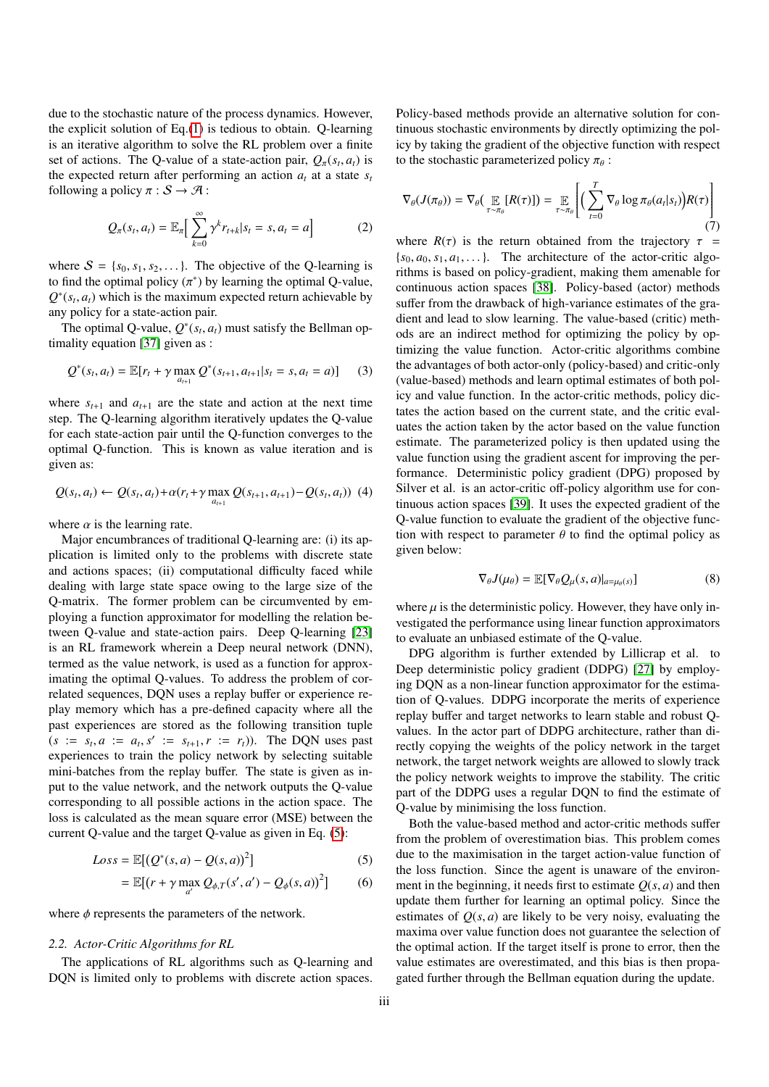due to the stochastic nature of the process dynamics. However, the explicit solution of Eq.[\(1\)](#page-1-0) is tedious to obtain. Q-learning is an iterative algorithm to solve the RL problem over a finite set of actions. The Q-value of a state-action pair,  $Q_{\pi}(s_t, a_t)$  is<br>the expected return after performing an action *a* at a state s the expected return after performing an action  $a_t$  at a state  $s_t$ following a policy  $\pi : S \to \mathcal{A}$ :

$$
Q_{\pi}(s_t, a_t) = \mathbb{E}_{\pi} \Big[ \sum_{k=0}^{\infty} \gamma^k r_{t+k} | s_t = s, a_t = a \Big]
$$
 (2)

where  $S = \{s_0, s_1, s_2, \dots\}$ . The objective of the Q-learning is to find the optimal policy  $(\pi^*)$  by learning the optimal Q-value,<br> $Q^*(s, a)$  which is the maximum expected return achievable by  $Q^*(s_t, a_t)$  which is the maximum expected return achievable by<br>any policy for a state-action pair any policy for a state-action pair.

The optimal Q-value,  $Q^*(s_t, a_t)$  must satisfy the Bellman op-<br>pality equation [37] given as: timality equation [\[37\]](#page-11-24) given as :

$$
Q^*(s_t, a_t) = \mathbb{E}[r_t + \gamma \max_{a_{t+1}} Q^*(s_{t+1}, a_{t+1}|s_t = s, a_t = a)] \qquad (3)
$$

where  $s_{t+1}$  and  $a_{t+1}$  are the state and action at the next time step. The Q-learning algorithm iteratively updates the Q-value for each state-action pair until the Q-function converges to the optimal Q-function. This is known as value iteration and is given as:

$$
Q(s_t, a_t) \leftarrow Q(s_t, a_t) + \alpha(r_t + \gamma \max_{a_{t+1}} Q(s_{t+1}, a_{t+1}) - Q(s_t, a_t)) \tag{4}
$$

where  $\alpha$  is the learning rate.

Major encumbrances of traditional Q-learning are: (i) its application is limited only to the problems with discrete state and actions spaces; (ii) computational difficulty faced while dealing with large state space owing to the large size of the Q-matrix. The former problem can be circumvented by employing a function approximator for modelling the relation between Q-value and state-action pairs. Deep Q-learning [\[23\]](#page-11-10) is an RL framework wherein a Deep neural network (DNN), termed as the value network, is used as a function for approximating the optimal Q-values. To address the problem of correlated sequences, DQN uses a replay buffer or experience replay memory which has a pre-defined capacity where all the past experiences are stored as the following transition tuple  $(s := s_t, a := a_t, s' := s_{t+1}, r := r_t)$ . The DQN uses past experiences to train the policy network by selecting suitable experiences to train the policy network by selecting suitable mini-batches from the replay buffer. The state is given as input to the value network, and the network outputs the Q-value corresponding to all possible actions in the action space. The loss is calculated as the mean square error (MSE) between the current Q-value and the target Q-value as given in Eq. [\(5\)](#page-2-0):

$$
Loss = \mathbb{E}[(Q^*(s, a) - Q(s, a))^2]
$$
\n(5)

$$
= \mathbb{E}[(r + \gamma \max_{a'} Q_{\phi,T}(s',a') - Q_{\phi}(s,a))^2]
$$
 (6)

where  $\phi$  represents the parameters of the network.

#### *2.2. Actor-Critic Algorithms for RL*

The applications of RL algorithms such as Q-learning and DQN is limited only to problems with discrete action spaces.

Policy-based methods provide an alternative solution for continuous stochastic environments by directly optimizing the policy by taking the gradient of the objective function with respect to the stochastic parameterized policy  $\pi_{\theta}$ :

$$
\nabla_{\theta}(J(\pi_{\theta})) = \nabla_{\theta}\left(\mathop{\mathbb{E}}_{\tau \sim \pi_{\theta}}[R(\tau)]\right) = \mathop{\mathbb{E}}_{\tau \sim \pi_{\theta}}\left[\left(\sum_{t=0}^{T} \nabla_{\theta} \log \pi_{\theta}(a_t|s_t)\right) R(\tau)\right]
$$
(7)

where  $R(\tau)$  is the return obtained from the trajectory  $\tau$  =  ${s_0, a_0, s_1, a_1, \ldots}$ . The architecture of the actor-critic algorithms is based on policy-gradient, making them amenable for continuous action spaces [\[38\]](#page-11-25). Policy-based (actor) methods suffer from the drawback of high-variance estimates of the gradient and lead to slow learning. The value-based (critic) methods are an indirect method for optimizing the policy by optimizing the value function. Actor-critic algorithms combine the advantages of both actor-only (policy-based) and critic-only (value-based) methods and learn optimal estimates of both policy and value function. In the actor-critic methods, policy dictates the action based on the current state, and the critic evaluates the action taken by the actor based on the value function estimate. The parameterized policy is then updated using the value function using the gradient ascent for improving the performance. Deterministic policy gradient (DPG) proposed by Silver et al. is an actor-critic off-policy algorithm use for continuous action spaces [\[39\]](#page-11-26). It uses the expected gradient of the Q-value function to evaluate the gradient of the objective function with respect to parameter  $\theta$  to find the optimal policy as given below:

$$
\nabla_{\theta} J(\mu_{\theta}) = \mathbb{E} [\nabla_{\theta} Q_{\mu}(s, a)|_{a = \mu_{\theta}(s)}]
$$
(8)

where  $\mu$  is the deterministic policy. However, they have only investigated the performance using linear function approximators to evaluate an unbiased estimate of the Q-value.

DPG algorithm is further extended by Lillicrap et al. to Deep deterministic policy gradient (DDPG) [\[27\]](#page-11-14) by employing DQN as a non-linear function approximator for the estimation of Q-values. DDPG incorporate the merits of experience replay buffer and target networks to learn stable and robust Qvalues. In the actor part of DDPG architecture, rather than directly copying the weights of the policy network in the target network, the target network weights are allowed to slowly track the policy network weights to improve the stability. The critic part of the DDPG uses a regular DQN to find the estimate of Q-value by minimising the loss function.

<span id="page-2-0"></span>Both the value-based method and actor-critic methods suffer from the problem of overestimation bias. This problem comes due to the maximisation in the target action-value function of the loss function. Since the agent is unaware of the environment in the beginning, it needs first to estimate  $Q(s, a)$  and then update them further for learning an optimal policy. Since the estimates of  $O(s, a)$  are likely to be very noisy, evaluating the maxima over value function does not guarantee the selection of the optimal action. If the target itself is prone to error, then the value estimates are overestimated, and this bias is then propagated further through the Bellman equation during the update.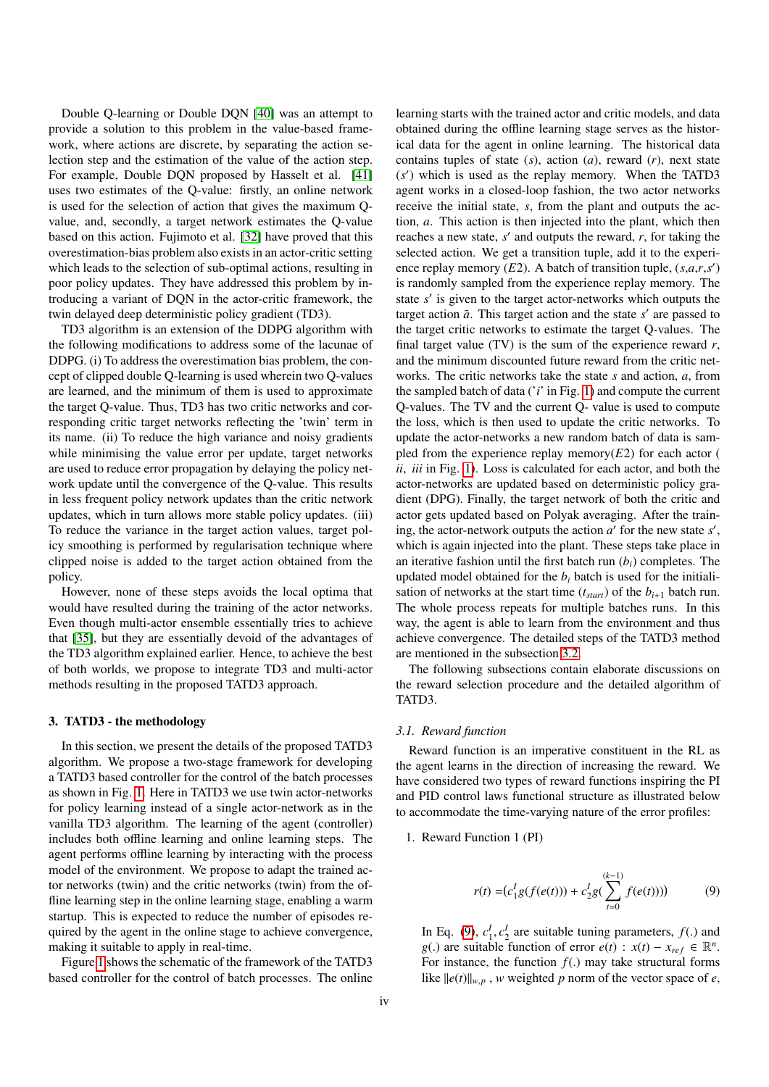Double Q-learning or Double DQN [\[40\]](#page-11-27) was an attempt to provide a solution to this problem in the value-based framework, where actions are discrete, by separating the action selection step and the estimation of the value of the action step. For example, Double DQN proposed by Hasselt et al. [\[41\]](#page-11-28) uses two estimates of the Q-value: firstly, an online network is used for the selection of action that gives the maximum Qvalue, and, secondly, a target network estimates the Q-value based on this action. Fujimoto et al. [\[32\]](#page-11-19) have proved that this overestimation-bias problem also exists in an actor-critic setting which leads to the selection of sub-optimal actions, resulting in poor policy updates. They have addressed this problem by introducing a variant of DQN in the actor-critic framework, the twin delayed deep deterministic policy gradient (TD3).

TD3 algorithm is an extension of the DDPG algorithm with the following modifications to address some of the lacunae of DDPG. (i) To address the overestimation bias problem, the concept of clipped double Q-learning is used wherein two Q-values are learned, and the minimum of them is used to approximate the target Q-value. Thus, TD3 has two critic networks and corresponding critic target networks reflecting the 'twin' term in its name. (ii) To reduce the high variance and noisy gradients while minimising the value error per update, target networks are used to reduce error propagation by delaying the policy network update until the convergence of the Q-value. This results in less frequent policy network updates than the critic network updates, which in turn allows more stable policy updates. (iii) To reduce the variance in the target action values, target policy smoothing is performed by regularisation technique where clipped noise is added to the target action obtained from the policy.

However, none of these steps avoids the local optima that would have resulted during the training of the actor networks. Even though multi-actor ensemble essentially tries to achieve that [\[35\]](#page-11-22), but they are essentially devoid of the advantages of the TD3 algorithm explained earlier. Hence, to achieve the best of both worlds, we propose to integrate TD3 and multi-actor methods resulting in the proposed TATD3 approach.

#### <span id="page-3-1"></span>3. TATD3 - the methodology

In this section, we present the details of the proposed TATD3 algorithm. We propose a two-stage framework for developing a TATD3 based controller for the control of the batch processes as shown in Fig. [1.](#page-5-0) Here in TATD3 we use twin actor-networks for policy learning instead of a single actor-network as in the vanilla TD3 algorithm. The learning of the agent (controller) includes both offline learning and online learning steps. The agent performs offline learning by interacting with the process model of the environment. We propose to adapt the trained actor networks (twin) and the critic networks (twin) from the offline learning step in the online learning stage, enabling a warm startup. This is expected to reduce the number of episodes required by the agent in the online stage to achieve convergence, making it suitable to apply in real-time.

Figure [1](#page-5-0) shows the schematic of the framework of the TATD3 based controller for the control of batch processes. The online learning starts with the trained actor and critic models, and data obtained during the offline learning stage serves as the historical data for the agent in online learning. The historical data contains tuples of state (*s*), action (*a*), reward (*r*), next state (s') which is used as the replay memory. When the TATD3 agent works in a closed-loop fashion, the two actor networks receive the initial state, *s*, from the plant and outputs the action, *a*. This action is then injected into the plant, which then reaches a new state,  $s'$  and outputs the reward,  $r$ , for taking the selected action. We get a transition tuple, add it to the experience replay memory (*E*2). A batch of transition tuple, (*s*,*a*,*r*,*s'*) is randomly sampled from the experience replay memory. The state *s'* is given to the target actor-networks which outputs the target action  $\tilde{a}$ . This target action and the state  $s'$  are passed to the target critic networks to estimate the target Q-values. The final target value (TV) is the sum of the experience reward *r*, and the minimum discounted future reward from the critic networks. The critic networks take the state *s* and action, *a*, from the sampled batch of data ('*i*' in Fig. [1\)](#page-5-0) and compute the current Q-values. The TV and the current Q- value is used to compute the loss, which is then used to update the critic networks. To update the actor-networks a new random batch of data is sampled from the experience replay memory $(E2)$  for each actor ( *ii*, *iii* in Fig. [1\)](#page-5-0). Loss is calculated for each actor, and both the actor-networks are updated based on deterministic policy gradient (DPG). Finally, the target network of both the critic and actor gets updated based on Polyak averaging. After the training, the actor-network outputs the action  $a'$  for the new state  $s'$ , which is again injected into the plant. These steps take place in an iterative fashion until the first batch run (*bi*) completes. The updated model obtained for the  $b_i$  batch is used for the initialisation of networks at the start time  $(t_{start})$  of the  $b_{i+1}$  batch run. The whole process repeats for multiple batches runs. In this way, the agent is able to learn from the environment and thus achieve convergence. The detailed steps of the TATD3 method are mentioned in the subsection [3.2.](#page-4-0)

The following subsections contain elaborate discussions on the reward selection procedure and the detailed algorithm of TATD3.

#### *3.1. Reward function*

Reward function is an imperative constituent in the RL as the agent learns in the direction of increasing the reward. We have considered two types of reward functions inspiring the PI and PID control laws functional structure as illustrated below to accommodate the time-varying nature of the error profiles:

#### 1. Reward Function 1 (PI)

<span id="page-3-0"></span>
$$
r(t) = (c_1^I g(f(e(t))) + c_2^I g(\sum_{t=0}^{(k-1)} f(e(t)))) \tag{9}
$$

In Eq. [\(9\)](#page-3-0),  $c_1^I$ ,  $c_2^I$  are suitable tuning parameters,  $f(.)$  and  $g(.)$  are suitable function of error  $g(t)$   $\colon$   $f(t) = x$ ,  $c \in \mathbb{R}^n$ *g*(.) are suitable function of error  $e(t)$  :  $x(t) - x_{ref} \in \mathbb{R}^n$ .<br>For instance, the function  $f()$  may take structural forms For instance, the function  $f(.)$  may take structural forms like  $||e(t)||_{w,p}$ , *w* weighted *p* norm of the vector space of *e*,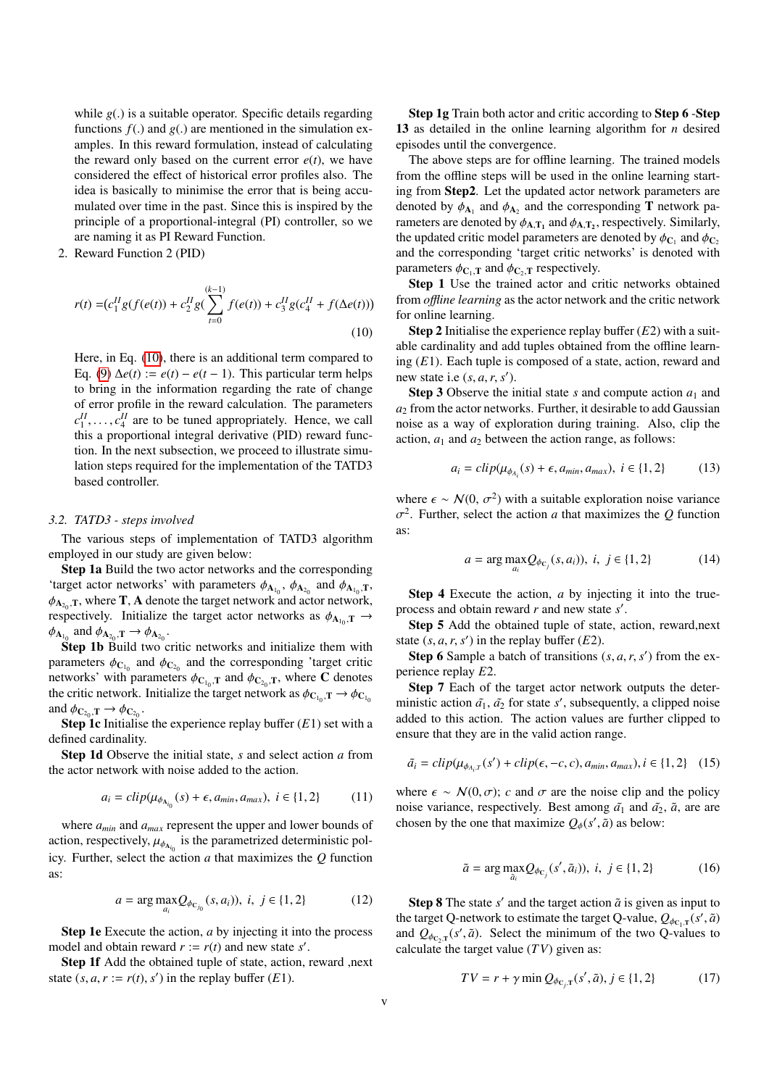while *<sup>g</sup>*(.) is a suitable operator. Specific details regarding functions  $f(.)$  and  $g(.)$  are mentioned in the simulation examples. In this reward formulation, instead of calculating the reward only based on the current error  $e(t)$ , we have considered the effect of historical error profiles also. The idea is basically to minimise the error that is being accumulated over time in the past. Since this is inspired by the principle of a proportional-integral (PI) controller, so we are naming it as PI Reward Function.

2. Reward Function 2 (PID)

$$
r(t) = (c_1^H g(f(e(t)) + c_2^H g(\sum_{t=0}^{(k-1)} f(e(t)) + c_3^H g(c_4^H + f(\Delta e(t)))
$$
\n(10)

Here, in Eq. [\(10\)](#page-4-1), there is an additional term compared to Eq. [\(9\)](#page-3-0)  $\Delta e(t) := e(t) - e(t-1)$ . This particular term helps to bring in the information regarding the rate of change of error profile in the reward calculation. The parameters  $c_1^H, \ldots, c_4^H$  are to be tuned appropriately. Hence, we call this a proportional integral derivative (PID) reward functhis a proportional integral derivative (PID) reward function. In the next subsection, we proceed to illustrate simulation steps required for the implementation of the TATD3 based controller.

#### <span id="page-4-0"></span>*3.2. TATD3 - steps involved*

The various steps of implementation of TATD3 algorithm employed in our study are given below:

Step 1a Build the two actor networks and the corresponding 'target actor networks' with parameters  $\phi_{A_{10}}$ ,  $\phi_{A_{20}}$  and  $\phi_{A_{10},T}$ ,<br>  $\phi_{A_{10}}$ , where **T**. A denote the target network and actor network  $\phi_{A_{20},T}$ , where **T**, **A** denote the target network and actor network,<br>respectively limitalize the target actor networks as  $\phi_{11}$  =  $\rightarrow$ respectively. Initialize the target actor networks as  $\phi_{A_{10}}, T \rightarrow A_1$  $\phi_{\mathbf{A}_{1_0}}$  and  $\phi_{\mathbf{A}_{2_0}}, \mathbf{T} \to \phi_{\mathbf{A}_{2_0}}$ .<br>Step 1b Build two c

Step 1b Build two critic networks and initialize them with parameters  $\phi_{C_{10}}$  and  $\phi_{C_{20}}$  and the corresponding 'target critic<br>networks' with parameters  $\phi_{C}$  and  $\phi_{C}$  as where C denotes networks' with parameters  $\phi_{C_{10},T}$  and  $\phi_{C_{20},T}$ , where C denotes<br>the critic network. Initialize the target network as  $\phi_{C}$ ,  $\pi \rightarrow \phi_C$ the critic network. Initialize the target network as  $\phi_{C_{1_0}}, T \rightarrow \phi_{C_{1_0}}$ <br>and  $\phi_{C_{1}} \rightarrow \phi_{C_0}$ and  $\phi_{C_{2_0}}, T \rightarrow \phi_{C_{2_0}}$ .<br>**Step 1c** Initialise

Step 1c Initialise the experience replay buffer (*E*1) set with a defined cardinality.

Step 1d Observe the initial state, *s* and select action *a* from the actor network with noise added to the action.

$$
a_i = clip(\mu_{\phi_{A_{i_0}}}(s) + \epsilon, a_{min}, a_{max}), i \in \{1, 2\}
$$
 (11)

where *amin* and *amax* represent the upper and lower bounds of action, respectively,  $\mu_{\phi_{\Lambda_{i_0}}}$  is the parametrized deterministic pol-<br>is the parametrized deterministic policy. Further, select the action *a* that maximizes the *Q* function as:

$$
a = \arg \max_{a_i} Q_{\phi_{C_{j_0}}}(s, a_i)), \ i, j \in \{1, 2\}
$$
 (12)

Step 1e Execute the action, *a* by injecting it into the process model and obtain reward  $r := r(t)$  and new state *s'*.

Step 1f Add the obtained tuple of state, action, reward ,next state  $(s, a, r := r(t), s')$  in the replay buffer  $(E1)$ .

Step 1g Train both actor and critic according to Step 6 -Step 13 as detailed in the online learning algorithm for *n* desired episodes until the convergence.

The above steps are for offline learning. The trained models from the offline steps will be used in the online learning starting from Step2. Let the updated actor network parameters are denoted by  $\phi_{A_1}$  and  $\phi_{A_2}$  and the corresponding **T** network parameters are denoted by  $\phi_{A_1}$  and  $\phi_{A_2}$  respectively. Similarly rameters are denoted by  $\phi_{A,T_1}$  and  $\phi_{A,T_2}$ , respectively. Similarly,<br>the undated critic model parameters are denoted by  $\phi_{\Omega}$  and  $\phi_{\Omega}$ the updated critic model parameters are denoted by  $\phi_{C_1}$  and  $\phi_{C_2}$ <br>and the corresponding 'target critic networks' is denoted with and the corresponding 'target critic networks' is denoted with parameters  $\phi_{\mathbf{C}_1,\mathbf{T}}$  and  $\phi_{\mathbf{C}_2,\mathbf{T}}$  respectively.

Step 1 Use the trained actor and critic networks obtained from *o*ffl*ine learning* as the actor network and the critic network for online learning.

<span id="page-4-1"></span>Step 2 Initialise the experience replay buffer (*E*2) with a suitable cardinality and add tuples obtained from the offline learning (*E*1). Each tuple is composed of a state, action, reward and new state i.e  $(s, a, r, s')$ .<br> **Step 3** Observe the i.

**Step 3** Observe the initial state *s* and compute action  $a_1$  and *a*<sup>2</sup> from the actor networks. Further, it desirable to add Gaussian noise as a way of exploration during training. Also, clip the action,  $a_1$  and  $a_2$  between the action range, as follows:

$$
a_i = clip(\mu_{\phi_{A_i}}(s) + \epsilon, a_{min}, a_{max}), \ i \in \{1, 2\} \tag{13}
$$

where  $\epsilon \sim \mathcal{N}(0, \sigma^2)$  with a suitable exploration noise variance  $\sigma^2$ . Eurther, select the action *a* that maximizes the *Q* function as: 2 . Further, select the action *a* that maximizes the *Q* function

$$
a = \arg \max_{a_i} Q_{\phi_{C_j}}(s, a_i), \ i, j \in \{1, 2\}
$$
 (14)

Step 4 Execute the action, *a* by injecting it into the trueprocess and obtain reward *r* and new state *s'*.

Step 5 Add the obtained tuple of state, action, reward,next state  $(s, a, r, s')$  in the replay buffer  $(E2)$ .<br>Step 6 Sample a batch of transitions  $(s, a, r, s')$ 

**Step 6** Sample a batch of transitions  $(s, a, r, s')$  from the experience replay *E*2.

Step 7 Each of the target actor network outputs the deterministic action  $\tilde{a_1}$ ,  $\tilde{a_2}$  for state *s'*, subsequently, a clipped noise added to this action. The action values are further clipped to ensure that they are in the valid action range.

$$
\tilde{a}_i = clip(\mu_{\phi_{A_i}, r}(s') + clip(\epsilon, -c, c), a_{min}, a_{max}), i \in \{1, 2\} \quad (15)
$$

where  $\epsilon \sim \mathcal{N}(0, \sigma)$ ; *c* and  $\sigma$  are the noise clip and the policy noise variance, respectively. Best among  $\tilde{a}_1$  and  $\tilde{a}_2$ ,  $\tilde{a}$ , are are chosen by the one that maximize  $Q_{\phi}(s', \tilde{a})$  as below:

$$
\tilde{a} = \arg \max_{\tilde{a}_i} Q_{\phi_{\mathcal{C}_j}}(s', \tilde{a}_i)), \ i, j \in \{1, 2\} \tag{16}
$$

**Step 8** The state  $s'$  and the target action  $\tilde{a}$  is given as input to the target Q-network to estimate the target Q-value,  $Q_{\phi_{C_1,T}}(s', \tilde{a})$ <br>and  $Q_{\phi_{C_1}}(s', \tilde{a})$ . Select the minimum of the two Q-values to and  $Q_{\phi_{C_2,T}}(s', \tilde{a})$ . Select the minimum of the two Q-values to<br>calculate the target value (*TV*) given as: calculate the target value (*TV*) given as:

$$
TV = r + \gamma \min Q_{\phi_{C_j, T}}(s', \tilde{a}), j \in \{1, 2\}
$$
 (17)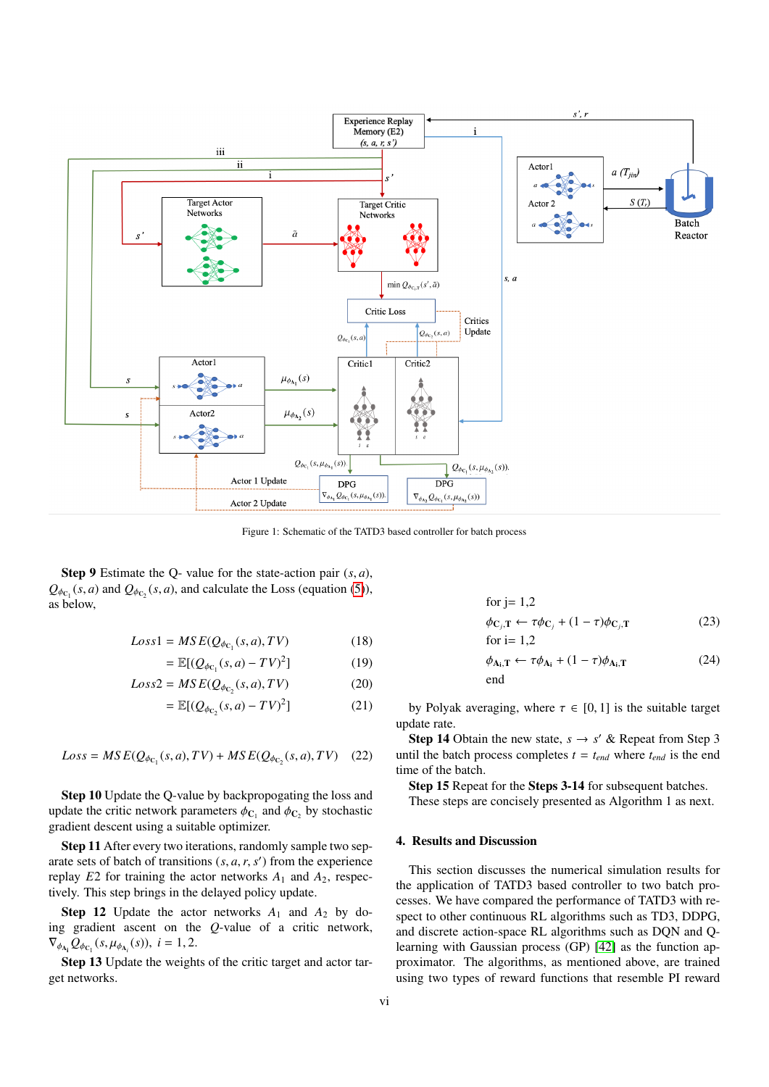<span id="page-5-0"></span>

Figure 1: Schematic of the TATD3 based controller for batch process

**Step 9** Estimate the Q- value for the state-action pair  $(s, a)$ ,  $Q_{\phi_{C_1}}(s, a)$  and  $Q_{\phi_{C_2}}(s, a)$ , and calculate the Loss (equation [\(5\)](#page-2-0)), as below,

$$
Loss1 = MSE(Q_{\phi_{C_1}}(s, a), TV)
$$
\n(18)

$$
= \mathbb{E}[(Q_{\phi_{C_1}}(s, a) - TV)^2]
$$
 (19)

$$
Loss2 = MSE(Q_{\phi_{C_2}}(s, a), TV)
$$
\n(20)

$$
= \mathbb{E}[(Q_{\phi_{C_2}}(s, a) - TV)^2]
$$
 (21)

$$
Loss = MSE(Q_{\phi_{C_1}}(s, a), TV) + MSE(Q_{\phi_{C_2}}(s, a), TV) \quad (22)
$$

Step 10 Update the Q-value by backpropogating the loss and update the critic network parameters  $\phi_{C_1}$  and  $\phi_{C_2}$  by stochastic gradient descent using a suitable optimizer gradient descent using a suitable optimizer.

Step 11 After every two iterations, randomly sample two separate sets of batch of transitions  $(s, a, r, s')$  from the experience<br>replay  $F<sup>2</sup>$  for training the actor networks  $A_3$  and  $A_2$  respecreplay  $E2$  for training the actor networks  $A_1$  and  $A_2$ , respectively. This step brings in the delayed policy update.

**Step 12** Update the actor networks  $A_1$  and  $A_2$  by doing gradient ascent on the *Q*-value of a critic network,  $\nabla_{\phi_{A_i}} Q_{\phi_{C_i}}(s, \mu_{\phi_{A_i}}(s)), i = 1, 2.$ 

Step 13 Update the weights of the critic target and actor target networks.

for j= 1,2  
\n
$$
\phi_{\mathbf{C}_j,\mathbf{T}} \leftarrow \tau \phi_{\mathbf{C}_j} + (1 - \tau) \phi_{\mathbf{C}_j,\mathbf{T}}
$$
\n(23)

$$
\varphi_{\mathbf{C}_j,\mathbf{T}} \leftarrow \tau \varphi_{\mathbf{C}_j} + (1 - \tau) \varphi_{\mathbf{C}_j,\mathbf{T}} \tag{25}
$$
  
for i= 1,2

$$
\phi_{A_i, T} \leftarrow \tau \phi_{A_i} + (1 - \tau) \phi_{A_i, T}
$$
\n<sup>(24)</sup>

by Polyak averaging, where  $\tau \in [0, 1]$  is the suitable target update rate.

**Step 14** Obtain the new state,  $s \rightarrow s'$  & Repeat from Step 3 until the batch process completes  $t = t_{end}$  where  $t_{end}$  is the end time of the batch.

Step 15 Repeat for the Steps 3-14 for subsequent batches.

These steps are concisely presented as Algorithm 1 as next.

## 4. Results and Discussion

This section discusses the numerical simulation results for the application of TATD3 based controller to two batch processes. We have compared the performance of TATD3 with respect to other continuous RL algorithms such as TD3, DDPG, and discrete action-space RL algorithms such as DQN and Qlearning with Gaussian process (GP) [\[42\]](#page-11-29) as the function approximator. The algorithms, as mentioned above, are trained using two types of reward functions that resemble PI reward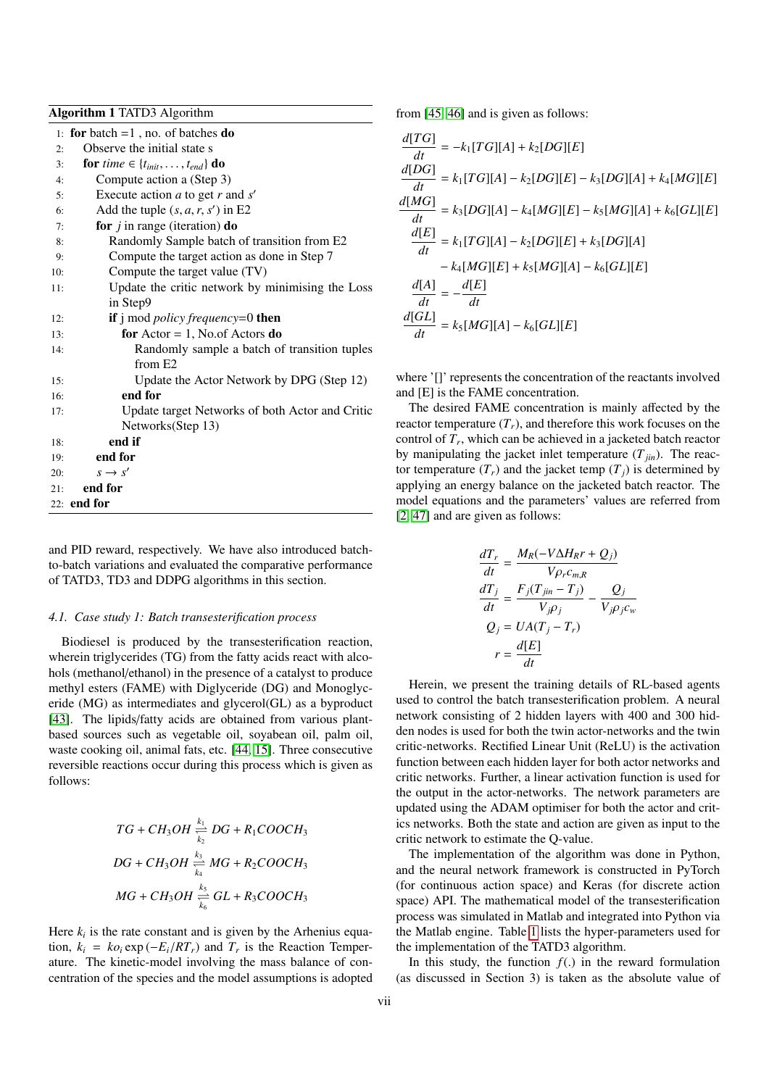Algorithm 1 TATD3 Algorithm

1: for batch  $=1$ , no. of batches do

| 2:  | Observe the initial state s                            |
|-----|--------------------------------------------------------|
| 3:  | for time $\in \{t_{init}, \ldots, t_{end}\}\$ do       |
| 4:  | Compute action a (Step 3)                              |
| 5:  | Execute action $a$ to get $r$ and $s'$                 |
| 6:  | Add the tuple $(s, a, r, s')$ in E2                    |
| 7:  | for $j$ in range (iteration) do                        |
| 8:  | Randomly Sample batch of transition from E2            |
| 9:  | Compute the target action as done in Step 7            |
| 10: | Compute the target value (TV)                          |
| 11: | Update the critic network by minimising the Loss       |
|     | in Step9                                               |
| 12: | <b>if</b> j mod <i>policy frequency</i> =0 <b>then</b> |
| 13: | for $Actor = 1$ , No.of Actors do                      |
| 14: | Randomly sample a batch of transition tuples           |
|     | from E <sub>2</sub>                                    |
| 15: | Update the Actor Network by DPG (Step 12)              |
| 16: | end for                                                |
| 17: | Update target Networks of both Actor and Critic        |
|     | Networks(Step 13)                                      |
| 18: | end if                                                 |
| 19: | end for                                                |
| 20: | $s \rightarrow s'$                                     |
| 21: | end for                                                |
|     | $22:$ end for                                          |

and PID reward, respectively. We have also introduced batchto-batch variations and evaluated the comparative performance of TATD3, TD3 and DDPG algorithms in this section.

#### *4.1. Case study 1: Batch transesterification process*

Biodiesel is produced by the transesterification reaction, wherein triglycerides (TG) from the fatty acids react with alcohols (methanol/ethanol) in the presence of a catalyst to produce methyl esters (FAME) with Diglyceride (DG) and Monoglyceride (MG) as intermediates and glycerol(GL) as a byproduct [\[43\]](#page-11-30). The lipids/fatty acids are obtained from various plantbased sources such as vegetable oil, soyabean oil, palm oil, waste cooking oil, animal fats, etc. [\[44,](#page-11-31) [15\]](#page-11-2). Three consecutive reversible reactions occur during this process which is given as follows:

$$
TG + CH_3OH \xleftarrow[k_1]{k_1} DG + R_1COOCH_3
$$
  

$$
DG + CH_3OH \xleftarrow[k_3]{k_3} MG + R_2COOCH_3
$$
  

$$
MG + CH_3OH \xleftarrow[k_4]{k_5} GL + R_3COOCH_3
$$

Here  $k_i$  is the rate constant and is given by the Arhenius equation,  $k_i = k\sigma_i \exp(-E_i/RT_r)$  and  $T_r$  is the Reaction Temper-<br>ature. The kinetic-model involving the mass balance of conature. The kinetic-model involving the mass balance of concentration of the species and the model assumptions is adopted from [\[45,](#page-11-32) [46\]](#page-11-33) and is given as follows:

$$
\frac{d[TG]}{dt} = -k_1[TG][A] + k_2[DG][E]
$$
\n
$$
\frac{d[DG]}{dt} = k_1[TG][A] - k_2[DG][E] - k_3[DG][A] + k_4[MG][E]
$$
\n
$$
\frac{d[MG]}{dt} = k_3[DG][A] - k_4[MG][E] - k_5[MG][A] + k_6[GL][E]
$$
\n
$$
\frac{d[E]}{dt} = k_1[TG][A] - k_2[DG][E] + k_3[DG][A]
$$
\n
$$
- k_4[MG][E] + k_5[MG][A] - k_6[GL][E]
$$
\n
$$
\frac{d[A]}{dt} = -\frac{d[E]}{dt}
$$
\n
$$
\frac{d[GL]}{dt} = k_5[MG][A] - k_6[GL][E]
$$

where '[]' represents the concentration of the reactants involved and [E] is the FAME concentration.

The desired FAME concentration is mainly affected by the reactor temperature  $(T_r)$ , and therefore this work focuses on the control of *T<sup>r</sup>* , which can be achieved in a jacketed batch reactor by manipulating the jacket inlet temperature  $(T_{fin})$ . The reactor temperature  $(T_r)$  and the jacket temp  $(T_i)$  is determined by applying an energy balance on the jacketed batch reactor. The model equations and the parameters' values are referred from [\[2,](#page-10-1) [47\]](#page-11-34) and are given as follows:

$$
\frac{dT_r}{dt} = \frac{M_R(-V\Delta H_R r + Q_j)}{V\rho_r c_{m,R}}
$$

$$
\frac{dT_j}{dt} = \frac{F_j(T_{jin} - T_j)}{V_{j}\rho_j} - \frac{Q_j}{V_{j}\rho_j c_w}
$$

$$
Q_j = UA(T_j - T_r)
$$

$$
r = \frac{d[E]}{dt}
$$

Herein, we present the training details of RL-based agents used to control the batch transesterification problem. A neural network consisting of 2 hidden layers with 400 and 300 hidden nodes is used for both the twin actor-networks and the twin critic-networks. Rectified Linear Unit (ReLU) is the activation function between each hidden layer for both actor networks and critic networks. Further, a linear activation function is used for the output in the actor-networks. The network parameters are updated using the ADAM optimiser for both the actor and critics networks. Both the state and action are given as input to the critic network to estimate the Q-value.

The implementation of the algorithm was done in Python, and the neural network framework is constructed in PyTorch (for continuous action space) and Keras (for discrete action space) API. The mathematical model of the transesterification process was simulated in Matlab and integrated into Python via the Matlab engine. Table [1](#page-7-0) lists the hyper-parameters used for the implementation of the TATD3 algorithm.

In this study, the function  $f(.)$  in the reward formulation (as discussed in Section 3) is taken as the absolute value of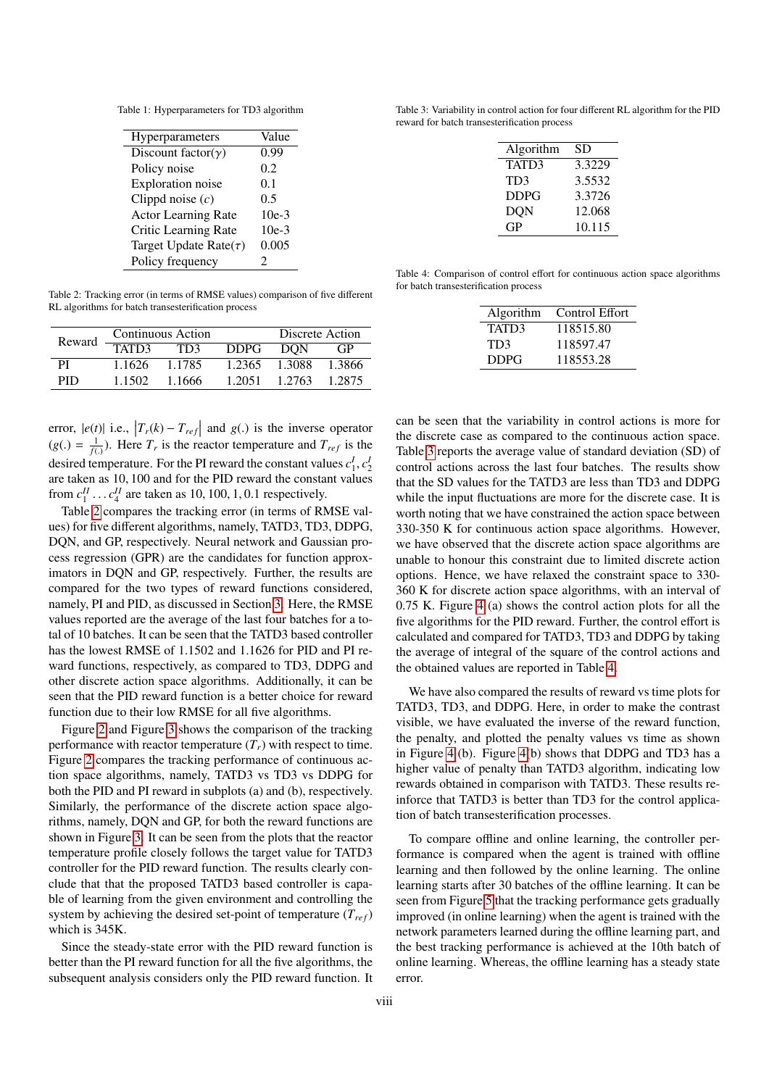<span id="page-7-0"></span>Table 1: Hyperparameters for TD3 algorithm

| <b>Hyperparameters</b>      | Value   |
|-----------------------------|---------|
| Discount factor( $\gamma$ ) | 0.99    |
| Policy noise                | 0.2     |
| <b>Exploration</b> noise    | 0.1     |
| Clippd noise $(c)$          | 0.5     |
| <b>Actor Learning Rate</b>  | $10e-3$ |
| Critic Learning Rate        | $10e-3$ |
| Target Update Rate $(\tau)$ | 0.005   |
| Policy frequency            | 2       |

<span id="page-7-1"></span>Table 2: Tracking error (in terms of RMSE values) comparison of five different RL algorithms for batch transesterification process

| Reward | Continuous Action  |           | Discrete Action |            |        |
|--------|--------------------|-----------|-----------------|------------|--------|
|        | TAT <sub>D</sub> 3 | TD3       | <b>DDPG</b>     | <b>DON</b> | GP     |
| ÞІ     | 1 1626             | 1 1 7 8 5 | 1.2365          | 1.3088     | 1.3866 |
| PID    | 1 1502             | 1.1666    | 1.2051          | 1.2763     | 1 2875 |

error,  $|e(t)|$  i.e.,  $|T_r(k) - T_{ref}|$  and  $g(.)$  is the inverse operator  $(g(.) = \frac{1}{f(.)}$ . Here  $T_r$  is the reactor temperature and  $T_{ref}$  is the decised temperature. For the **PI** gauged the constant values of  $\mathcal{A}$ desired temperature. For the PI reward the constant values  $c_1^I, c_2^I$ <br>are taken as 10, 100 and for the PID reward the constant values are taken as 10, 100 and for the PID reward the constant values from  $c_1^H$ ...  $c_4^H$  are taken as 10, 100, 1, 0.1 respectively.

Table [2](#page-7-1) compares the tracking error (in terms of RMSE values) for five different algorithms, namely, TATD3, TD3, DDPG, DQN, and GP, respectively. Neural network and Gaussian process regression (GPR) are the candidates for function approximators in DQN and GP, respectively. Further, the results are compared for the two types of reward functions considered, namely, PI and PID, as discussed in Section [3.](#page-3-1) Here, the RMSE values reported are the average of the last four batches for a total of 10 batches. It can be seen that the TATD3 based controller has the lowest RMSE of 1.1502 and 1.1626 for PID and PI reward functions, respectively, as compared to TD3, DDPG and other discrete action space algorithms. Additionally, it can be seen that the PID reward function is a better choice for reward function due to their low RMSE for all five algorithms.

Figure [2](#page-8-0) and Figure [3](#page-8-1) shows the comparison of the tracking performance with reactor temperature  $(T_r)$  with respect to time. Figure [2](#page-8-0) compares the tracking performance of continuous action space algorithms, namely, TATD3 vs TD3 vs DDPG for both the PID and PI reward in subplots (a) and (b), respectively. Similarly, the performance of the discrete action space algorithms, namely, DQN and GP, for both the reward functions are shown in Figure [3.](#page-8-1) It can be seen from the plots that the reactor temperature profile closely follows the target value for TATD3 controller for the PID reward function. The results clearly conclude that that the proposed TATD3 based controller is capable of learning from the given environment and controlling the system by achieving the desired set-point of temperature  $(T_{ref})$ which is 345K.

Since the steady-state error with the PID reward function is better than the PI reward function for all the five algorithms, the subsequent analysis considers only the PID reward function. It

<span id="page-7-2"></span>Table 3: Variability in control action for four different RL algorithm for the PID reward for batch transesterification process

| Algorithm   | SD     |
|-------------|--------|
| TATD3       | 3.3229 |
| TD3         | 3.5532 |
| <b>DDPG</b> | 3.3726 |
| <b>DON</b>  | 12.068 |
| GP          | 10.115 |

<span id="page-7-3"></span>Table 4: Comparison of control effort for continuous action space algorithms for batch transesterification process

| Algorithm   | Control Effort |
|-------------|----------------|
| TATD3       | 118515.80      |
| TD3         | 118597.47      |
| <b>DDPG</b> | 118553.28      |

can be seen that the variability in control actions is more for the discrete case as compared to the continuous action space. Table [3](#page-7-2) reports the average value of standard deviation (SD) of control actions across the last four batches. The results show that the SD values for the TATD3 are less than TD3 and DDPG while the input fluctuations are more for the discrete case. It is worth noting that we have constrained the action space between 330-350 K for continuous action space algorithms. However, we have observed that the discrete action space algorithms are unable to honour this constraint due to limited discrete action options. Hence, we have relaxed the constraint space to 330- 360 K for discrete action space algorithms, with an interval of 0.75 K. Figure [4](#page-9-0) (a) shows the control action plots for all the five algorithms for the PID reward. Further, the control effort is calculated and compared for TATD3, TD3 and DDPG by taking the average of integral of the square of the control actions and the obtained values are reported in Table [4.](#page-7-3)

We have also compared the results of reward vs time plots for TATD3, TD3, and DDPG. Here, in order to make the contrast visible, we have evaluated the inverse of the reward function, the penalty, and plotted the penalty values vs time as shown in Figure [4](#page-9-0) (b). Figure [4\(](#page-9-0)b) shows that DDPG and TD3 has a higher value of penalty than TATD3 algorithm, indicating low rewards obtained in comparison with TATD3. These results reinforce that TATD3 is better than TD3 for the control application of batch transesterification processes.

To compare offline and online learning, the controller performance is compared when the agent is trained with offline learning and then followed by the online learning. The online learning starts after 30 batches of the offline learning. It can be seen from Figure [5](#page-9-1) that the tracking performance gets gradually improved (in online learning) when the agent is trained with the network parameters learned during the offline learning part, and the best tracking performance is achieved at the 10th batch of online learning. Whereas, the offline learning has a steady state error.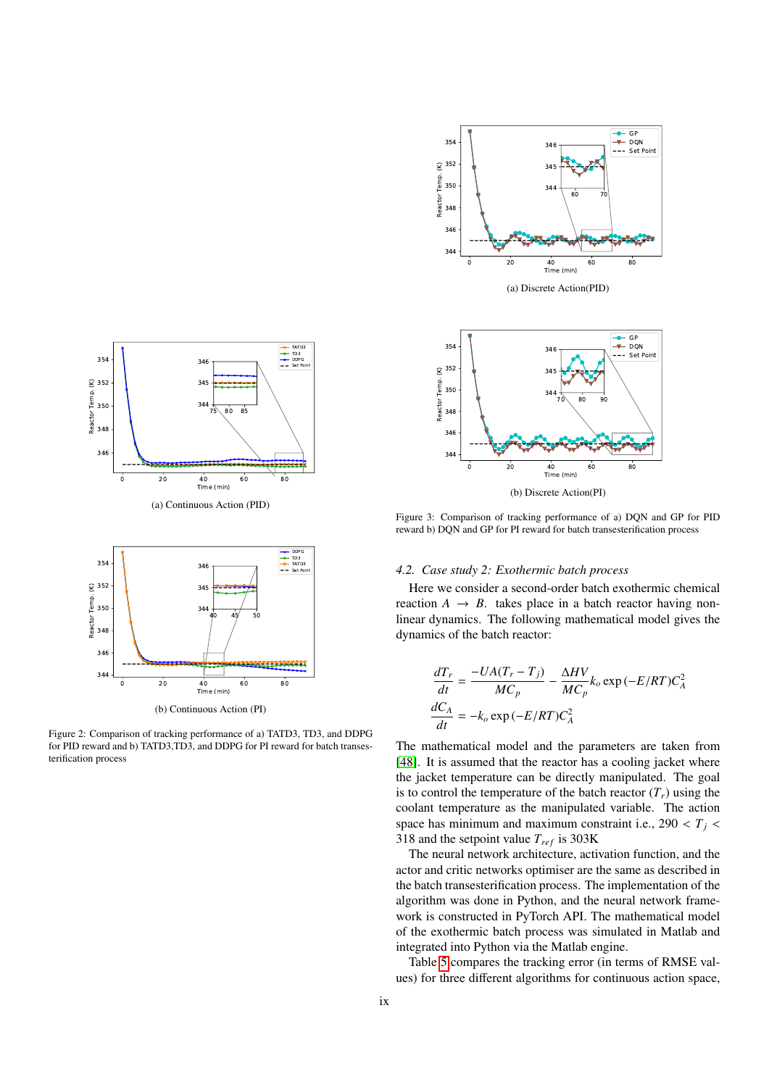<span id="page-8-1"></span>



Figure 3: Comparison of tracking performance of a) DQN and GP for PID reward b) DQN and GP for PI reward for batch transesterification process

## *4.2. Case study 2: Exothermic batch process*

Here we consider a second-order batch exothermic chemical reaction  $A \rightarrow B$ . takes place in a batch reactor having nonlinear dynamics. The following mathematical model gives the dynamics of the batch reactor:

$$
\frac{dT_r}{dt} = \frac{-UA(T_r - T_j)}{MC_p} - \frac{\Delta HV}{MC_p} k_o \exp(-E/RT)C_A^2
$$

$$
\frac{dC_A}{dt} = -k_o \exp(-E/RT)C_A^2
$$

The mathematical model and the parameters are taken from [\[48\]](#page-11-35). It is assumed that the reactor has a cooling jacket where the jacket temperature can be directly manipulated. The goal is to control the temperature of the batch reactor  $(T_r)$  using the coolant temperature as the manipulated variable. The action space has minimum and maximum constraint i.e.,  $290 < T<sub>j</sub>$ 318 and the setpoint value  $T_{ref}$  is 303K

The neural network architecture, activation function, and the actor and critic networks optimiser are the same as described in the batch transesterification process. The implementation of the algorithm was done in Python, and the neural network framework is constructed in PyTorch API. The mathematical model of the exothermic batch process was simulated in Matlab and integrated into Python via the Matlab engine.

Table [5](#page-9-2) compares the tracking error (in terms of RMSE values) for three different algorithms for continuous action space,

<span id="page-8-0"></span>



Figure 2: Comparison of tracking performance of a) TATD3, TD3, and DDPG for PID reward and b) TATD3,TD3, and DDPG for PI reward for batch transesterification process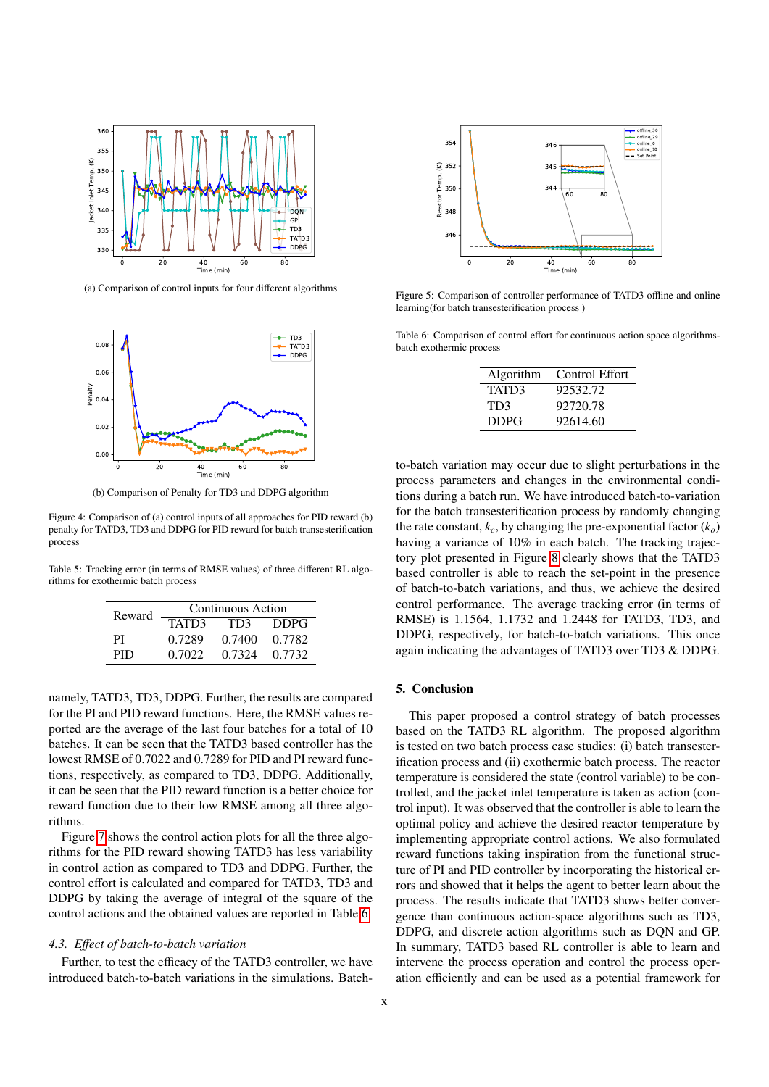<span id="page-9-0"></span>

(a) Comparison of control inputs for four different algorithms



(b) Comparison of Penalty for TD3 and DDPG algorithm

Figure 4: Comparison of (a) control inputs of all approaches for PID reward (b) penalty for TATD3, TD3 and DDPG for PID reward for batch transesterification process

<span id="page-9-2"></span>Table 5: Tracking error (in terms of RMSE values) of three different RL algorithms for exothermic batch process

| Reward |        | Continuous Action |             |
|--------|--------|-------------------|-------------|
|        | TATD3  | TD3               | <b>DDPG</b> |
| PI     | 0.7289 | 0.7400            | 0.7782      |
| PID    | 0.7022 | 0.7324            | 0.7732      |

namely, TATD3, TD3, DDPG. Further, the results are compared for the PI and PID reward functions. Here, the RMSE values reported are the average of the last four batches for a total of 10 batches. It can be seen that the TATD3 based controller has the lowest RMSE of 0.7022 and 0.7289 for PID and PI reward functions, respectively, as compared to TD3, DDPG. Additionally, it can be seen that the PID reward function is a better choice for reward function due to their low RMSE among all three algorithms.

Figure [7](#page-10-12) shows the control action plots for all the three algorithms for the PID reward showing TATD3 has less variability in control action as compared to TD3 and DDPG. Further, the control effort is calculated and compared for TATD3, TD3 and DDPG by taking the average of integral of the square of the control actions and the obtained values are reported in Table [6.](#page-9-3)

#### *4.3. E*ff*ect of batch-to-batch variation*

Further, to test the efficacy of the TATD3 controller, we have introduced batch-to-batch variations in the simulations. Batch-

<span id="page-9-1"></span>

Figure 5: Comparison of controller performance of TATD3 offline and online learning(for batch transesterification process )

<span id="page-9-3"></span>Table 6: Comparison of control effort for continuous action space algorithmsbatch exothermic process

| Algorithm   | Control Effort |
|-------------|----------------|
| TATD3       | 92532.72       |
| TD3         | 92720.78       |
| <b>DDPG</b> | 92614.60       |

to-batch variation may occur due to slight perturbations in the process parameters and changes in the environmental conditions during a batch run. We have introduced batch-to-variation for the batch transesterification process by randomly changing the rate constant,  $k_c$ , by changing the pre-exponential factor  $(k_o)$ having a variance of 10% in each batch. The tracking trajectory plot presented in Figure [8](#page-10-13) clearly shows that the TATD3 based controller is able to reach the set-point in the presence of batch-to-batch variations, and thus, we achieve the desired control performance. The average tracking error (in terms of RMSE) is 1.1564, 1.1732 and 1.2448 for TATD3, TD3, and DDPG, respectively, for batch-to-batch variations. This once again indicating the advantages of TATD3 over TD3 & DDPG.

### 5. Conclusion

This paper proposed a control strategy of batch processes based on the TATD3 RL algorithm. The proposed algorithm is tested on two batch process case studies: (i) batch transesterification process and (ii) exothermic batch process. The reactor temperature is considered the state (control variable) to be controlled, and the jacket inlet temperature is taken as action (control input). It was observed that the controller is able to learn the optimal policy and achieve the desired reactor temperature by implementing appropriate control actions. We also formulated reward functions taking inspiration from the functional structure of PI and PID controller by incorporating the historical errors and showed that it helps the agent to better learn about the process. The results indicate that TATD3 shows better convergence than continuous action-space algorithms such as TD3, DDPG, and discrete action algorithms such as DQN and GP. In summary, TATD3 based RL controller is able to learn and intervene the process operation and control the process operation efficiently and can be used as a potential framework for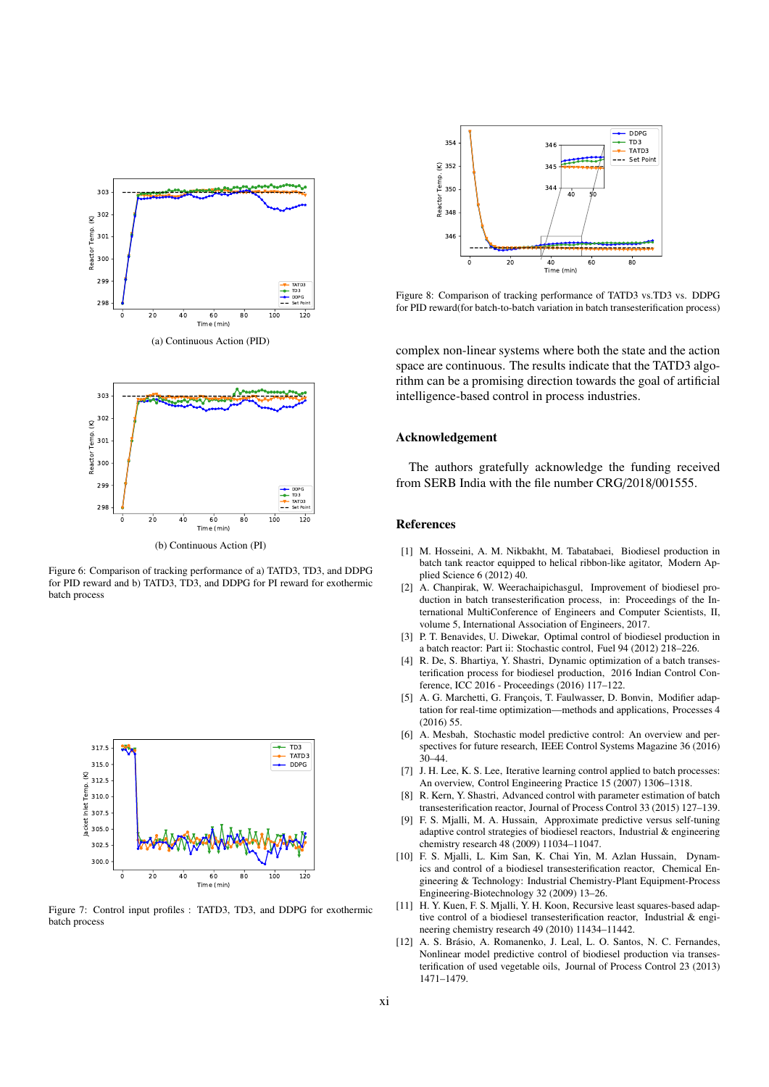



(b) Continuous Action (PI)

Figure 6: Comparison of tracking performance of a) TATD3, TD3, and DDPG for PID reward and b) TATD3, TD3, and DDPG for PI reward for exothermic batch process

<span id="page-10-12"></span>

Figure 7: Control input profiles : TATD3, TD3, and DDPG for exothermic batch process

<span id="page-10-13"></span>

Figure 8: Comparison of tracking performance of TATD3 vs.TD3 vs. DDPG for PID reward(for batch-to-batch variation in batch transesterification process)

complex non-linear systems where both the state and the action space are continuous. The results indicate that the TATD3 algorithm can be a promising direction towards the goal of artificial intelligence-based control in process industries.

#### Acknowledgement

The authors gratefully acknowledge the funding received from SERB India with the file number CRG/2018/001555.

#### References

- <span id="page-10-0"></span>[1] M. Hosseini, A. M. Nikbakht, M. Tabatabaei, Biodiesel production in batch tank reactor equipped to helical ribbon-like agitator, Modern Applied Science 6 (2012) 40.
- <span id="page-10-1"></span>[2] A. Chanpirak, W. Weerachaipichasgul, Improvement of biodiesel production in batch transesterification process, in: Proceedings of the International MultiConference of Engineers and Computer Scientists, II, volume 5, International Association of Engineers, 2017.
- <span id="page-10-2"></span>[3] P. T. Benavides, U. Diwekar, Optimal control of biodiesel production in a batch reactor: Part ii: Stochastic control, Fuel 94 (2012) 218–226.
- <span id="page-10-3"></span>[4] R. De, S. Bhartiya, Y. Shastri, Dynamic optimization of a batch transesterification process for biodiesel production, 2016 Indian Control Conference, ICC 2016 - Proceedings (2016) 117–122.
- <span id="page-10-4"></span>[5] A. G. Marchetti, G. François, T. Faulwasser, D. Bonvin, Modifier adaptation for real-time optimization—methods and applications, Processes 4 (2016) 55.
- <span id="page-10-5"></span>[6] A. Mesbah, Stochastic model predictive control: An overview and perspectives for future research, IEEE Control Systems Magazine 36 (2016)  $30 - 44$
- <span id="page-10-6"></span>[7] J. H. Lee, K. S. Lee, Iterative learning control applied to batch processes: An overview, Control Engineering Practice 15 (2007) 1306–1318.
- <span id="page-10-7"></span>[8] R. Kern, Y. Shastri, Advanced control with parameter estimation of batch transesterification reactor, Journal of Process Control 33 (2015) 127–139.
- <span id="page-10-8"></span>[9] F. S. Mjalli, M. A. Hussain, Approximate predictive versus self-tuning adaptive control strategies of biodiesel reactors, Industrial & engineering chemistry research 48 (2009) 11034–11047.
- <span id="page-10-9"></span>[10] F. S. Mjalli, L. Kim San, K. Chai Yin, M. Azlan Hussain, Dynamics and control of a biodiesel transesterification reactor, Chemical Engineering & Technology: Industrial Chemistry-Plant Equipment-Process Engineering-Biotechnology 32 (2009) 13–26.
- <span id="page-10-10"></span>[11] H. Y. Kuen, F. S. Mjalli, Y. H. Koon, Recursive least squares-based adaptive control of a biodiesel transesterification reactor, Industrial & engineering chemistry research 49 (2010) 11434–11442.
- <span id="page-10-11"></span>[12] A. S. Brásio, A. Romanenko, J. Leal, L. O. Santos, N. C. Fernandes, Nonlinear model predictive control of biodiesel production via transesterification of used vegetable oils, Journal of Process Control 23 (2013) 1471–1479.